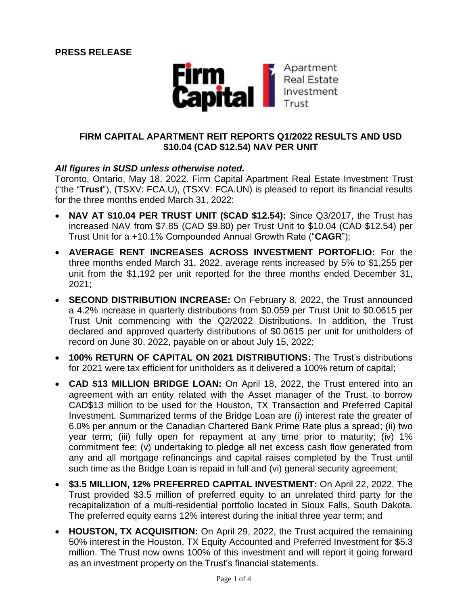

## **FIRM CAPITAL APARTMENT REIT REPORTS Q1/2022 RESULTS AND USD \$10.04 (CAD \$12.54) NAV PER UNIT**

## *All figures in \$USD unless otherwise noted.*

Toronto, Ontario, May 18, 2022. Firm Capital Apartment Real Estate Investment Trust ("the "**Trust**"), (TSXV: FCA.U), (TSXV: FCA.UN) is pleased to report its financial results for the three months ended March 31, 2022:

- **NAV AT \$10.04 PER TRUST UNIT (\$CAD \$12.54):** Since Q3/2017, the Trust has increased NAV from \$7.85 (CAD \$9.80) per Trust Unit to \$10.04 (CAD \$12.54) per Trust Unit for a +10.1% Compounded Annual Growth Rate ("**CAGR**");
- **AVERAGE RENT INCREASES ACROSS INVESTMENT PORTOFLIO:** For the three months ended March 31, 2022, average rents increased by 5% to \$1,255 per unit from the \$1,192 per unit reported for the three months ended December 31, 2021;
- **SECOND DISTRIBUTION INCREASE:** On February 8, 2022, the Trust announced a 4.2% increase in quarterly distributions from \$0.059 per Trust Unit to \$0.0615 per Trust Unit commencing with the Q2/2022 Distributions. In addition, the Trust declared and approved quarterly distributions of \$0.0615 per unit for unitholders of record on June 30, 2022, payable on or about July 15, 2022;
- **100% RETURN OF CAPITAL ON 2021 DISTRIBUTIONS:** The Trust's distributions for 2021 were tax efficient for unitholders as it delivered a 100% return of capital;
- **CAD \$13 MILLION BRIDGE LOAN:** On April 18, 2022, the Trust entered into an agreement with an entity related with the Asset manager of the Trust, to borrow CAD\$13 million to be used for the Houston, TX Transaction and Preferred Capital Investment. Summarized terms of the Bridge Loan are (i) interest rate the greater of 6.0% per annum or the Canadian Chartered Bank Prime Rate plus a spread; (ii) two year term; (iii) fully open for repayment at any time prior to maturity; (iv) 1% commitment fee; (v) undertaking to pledge all net excess cash flow generated from any and all mortgage refinancings and capital raises completed by the Trust until such time as the Bridge Loan is repaid in full and (vi) general security agreement;
- **\$3.5 MILLION, 12% PREFERRED CAPITAL INVESTMENT:** On April 22, 2022, The Trust provided \$3.5 million of preferred equity to an unrelated third party for the recapitalization of a multi-residential portfolio located in Sioux Falls, South Dakota. The preferred equity earns 12% interest during the initial three year term; and
- **HOUSTON, TX ACQUISITION:** On April 29, 2022, the Trust acquired the remaining 50% interest in the Houston, TX Equity Accounted and Preferred Investment for \$5.3 million. The Trust now owns 100% of this investment and will report it going forward as an investment property on the Trust's financial statements.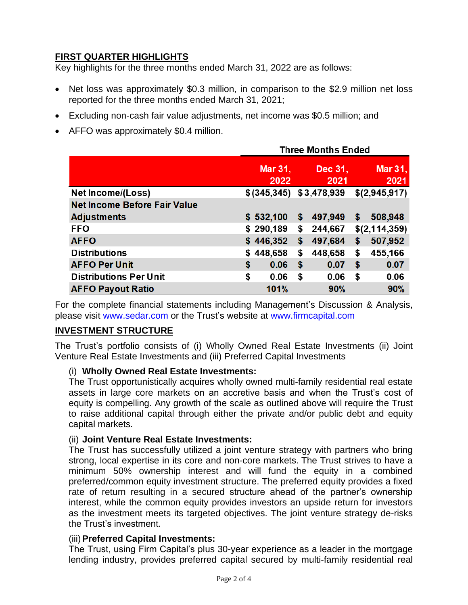# **FIRST QUARTER HIGHLIGHTS**

Key highlights for the three months ended March 31, 2022 are as follows:

- Net loss was approximately \$0.3 million, in comparison to the \$2.9 million net loss reported for the three months ended March 31, 2021;
- Excluding non-cash fair value adjustments, net income was \$0.5 million; and
- AFFO was approximately \$0.4 million.

|                               | Three Months Ended     |                 |                 |
|-------------------------------|------------------------|-----------------|-----------------|
|                               | <b>Mar 31,</b><br>2022 | Dec 31,<br>2021 | Mar 31,<br>2021 |
| <b>Net Income/(Loss)</b>      | \$(345,345)            | \$3,478,939     | \$(2,945,917)   |
| Net Income Before Fair Value  |                        |                 |                 |
| <b>Adjustments</b>            | \$532,100              | 497,949<br>\$   | 508,948<br>\$   |
| <b>FFO</b>                    | \$290,189              | 244,667<br>\$   | \$(2,114,359)   |
| <b>AFFO</b>                   | \$446,352              | 497,684<br>\$   | 507,952<br>\$   |
| <b>Distributions</b>          | \$448,658              | 448,658<br>\$   | 455,166<br>\$   |
| <b>AFFO Per Unit</b>          | \$<br>0.06             | \$<br>0.07      | 0.07<br>S       |
| <b>Distributions Per Unit</b> | \$<br>0.06             | \$<br>0.06      | 0.06<br>\$      |
| <b>AFFO Payout Ratio</b>      | 101%                   | 90%             | 90%             |

For the complete financial statements including Management's Discussion & Analysis, please visit [www.sedar.com](http://www.sedar.com/) or the Trust's website at [www.firmcapital.com](http://www.firmcapital.com/)

## **INVESTMENT STRUCTURE**

The Trust's portfolio consists of (i) Wholly Owned Real Estate Investments (ii) Joint Venture Real Estate Investments and (iii) Preferred Capital Investments

#### (i) **Wholly Owned Real Estate Investments:**

The Trust opportunistically acquires wholly owned multi-family residential real estate assets in large core markets on an accretive basis and when the Trust's cost of equity is compelling. Any growth of the scale as outlined above will require the Trust to raise additional capital through either the private and/or public debt and equity capital markets.

#### (ii) **Joint Venture Real Estate Investments:**

The Trust has successfully utilized a joint venture strategy with partners who bring strong, local expertise in its core and non-core markets. The Trust strives to have a minimum 50% ownership interest and will fund the equity in a combined preferred/common equity investment structure. The preferred equity provides a fixed rate of return resulting in a secured structure ahead of the partner's ownership interest, while the common equity provides investors an upside return for investors as the investment meets its targeted objectives. The joint venture strategy de-risks the Trust's investment.

#### (iii)**Preferred Capital Investments:**

The Trust, using Firm Capital's plus 30-year experience as a leader in the mortgage lending industry, provides preferred capital secured by multi-family residential real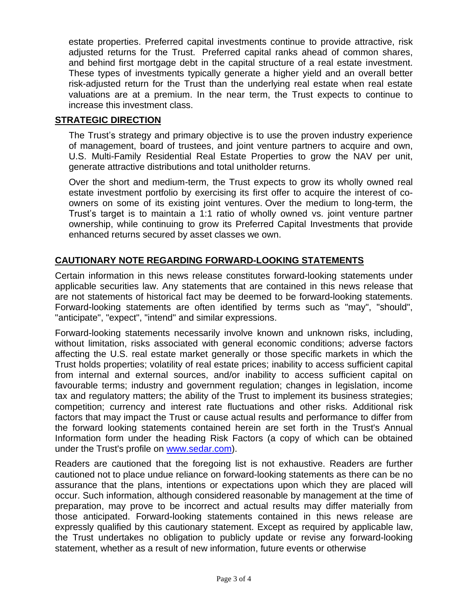estate properties. Preferred capital investments continue to provide attractive, risk adjusted returns for the Trust. Preferred capital ranks ahead of common shares, and behind first mortgage debt in the capital structure of a real estate investment. These types of investments typically generate a higher yield and an overall better risk-adjusted return for the Trust than the underlying real estate when real estate valuations are at a premium. In the near term, the Trust expects to continue to increase this investment class.

## **STRATEGIC DIRECTION**

The Trust's strategy and primary objective is to use the proven industry experience of management, board of trustees, and joint venture partners to acquire and own, U.S. Multi-Family Residential Real Estate Properties to grow the NAV per unit, generate attractive distributions and total unitholder returns.

Over the short and medium-term, the Trust expects to grow its wholly owned real estate investment portfolio by exercising its first offer to acquire the interest of coowners on some of its existing joint ventures. Over the medium to long-term, the Trust's target is to maintain a 1:1 ratio of wholly owned vs. joint venture partner ownership, while continuing to grow its Preferred Capital Investments that provide enhanced returns secured by asset classes we own.

## **CAUTIONARY NOTE REGARDING FORWARD-LOOKING STATEMENTS**

Certain information in this news release constitutes forward-looking statements under applicable securities law. Any statements that are contained in this news release that are not statements of historical fact may be deemed to be forward-looking statements. Forward-looking statements are often identified by terms such as "may", "should", "anticipate", "expect", "intend" and similar expressions.

Forward-looking statements necessarily involve known and unknown risks, including, without limitation, risks associated with general economic conditions; adverse factors affecting the U.S. real estate market generally or those specific markets in which the Trust holds properties; volatility of real estate prices; inability to access sufficient capital from internal and external sources, and/or inability to access sufficient capital on favourable terms; industry and government regulation; changes in legislation, income tax and regulatory matters; the ability of the Trust to implement its business strategies; competition; currency and interest rate fluctuations and other risks. Additional risk factors that may impact the Trust or cause actual results and performance to differ from the forward looking statements contained herein are set forth in the Trust's Annual Information form under the heading Risk Factors (a copy of which can be obtained under the Trust's profile on [www.sedar.com\)](http://www.sedar.com/).

Readers are cautioned that the foregoing list is not exhaustive. Readers are further cautioned not to place undue reliance on forward-looking statements as there can be no assurance that the plans, intentions or expectations upon which they are placed will occur. Such information, although considered reasonable by management at the time of preparation, may prove to be incorrect and actual results may differ materially from those anticipated. Forward-looking statements contained in this news release are expressly qualified by this cautionary statement. Except as required by applicable law, the Trust undertakes no obligation to publicly update or revise any forward-looking statement, whether as a result of new information, future events or otherwise